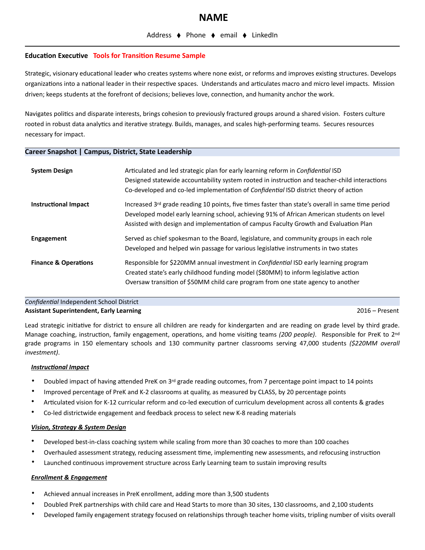## **Education Executive Tools for Transition Resume Sample**

Strategic, visionary educational leader who creates systems where none exist, or reforms and improves existing structures. Develops organizations into a national leader in their respective spaces. Understands and articulates macro and micro level impacts. Mission driven; keeps students at the forefront of decisions; believes love, connection, and humanity anchor the work.

Navigates politics and disparate interests, brings cohesion to previously fractured groups around a shared vision. Fosters culture rooted in robust data analytics and iterative strategy. Builds, manages, and scales high-performing teams. Secures resources necessary for impact.

## **Career Snapshot | Campus, District, State Leadership**

| <b>System Design</b>            | Articulated and led strategic plan for early learning reform in <i>Confidential</i> ISD<br>Designed statewide accountability system rooted in instruction and teacher-child interactions<br>Co-developed and co-led implementation of Confidential ISD district theory of action        |
|---------------------------------|-----------------------------------------------------------------------------------------------------------------------------------------------------------------------------------------------------------------------------------------------------------------------------------------|
| <b>Instructional Impact</b>     | Increased 3rd grade reading 10 points, five times faster than state's overall in same time period<br>Developed model early learning school, achieving 91% of African American students on level<br>Assisted with design and implementation of campus Faculty Growth and Evaluation Plan |
| Engagement                      | Served as chief spokesman to the Board, legislature, and community groups in each role<br>Developed and helped win passage for various legislative instruments in two states                                                                                                            |
| <b>Finance &amp; Operations</b> | Responsible for \$220MM annual investment in <i>Confidential</i> ISD early learning program<br>Created state's early childhood funding model (\$80MM) to inform legislative action<br>Oversaw transition of \$50MM child care program from one state agency to another                  |

## *Confidential* Independent School District **Assistant Superintendent, Early Learning** 2016 – Present

Lead strategic initiative for district to ensure all children are ready for kindergarten and are reading on grade level by third grade. Manage coaching, instruction, family engagement, operations, and home visiting teams *(200 people)*. Responsible for PreK to 2nd grade programs in 150 elementary schools and 130 community partner classrooms serving 47,000 students *(\$220MM overall investment)*.

#### *Instructional Impact*

- Doubled impact of having attended PreK on 3rd grade reading outcomes, from 7 percentage point impact to 14 points
- Improved percentage of PreK and K-2 classrooms at quality, as measured by CLASS, by 20 percentage points
- Articulated vision for K-12 curricular reform and co-led execution of curriculum development across all contents & grades
- Co-led districtwide engagement and feedback process to select new K-8 reading materials

## *Vision, Strategy & System Design*

- Developed best-in-class coaching system while scaling from more than 30 coaches to more than 100 coaches
- Overhauled assessment strategy, reducing assessment time, implementing new assessments, and refocusing instruction
- Launched continuous improvement structure across Early Learning team to sustain improving results

# *Enrollment & Engagement*

- Achieved annual increases in PreK enrollment, adding more than 3,500 students
- Doubled PreK partnerships with child care and Head Starts to more than 30 sites, 130 classrooms, and 2,100 students
- Developed family engagement strategy focused on relationships through teacher home visits, tripling number of visits overall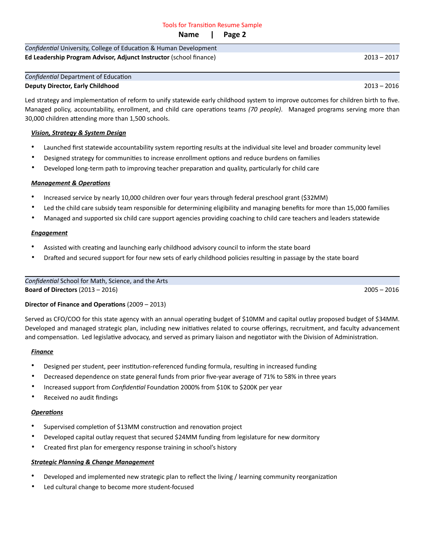## Tools for Transition Resume Sample

**Name | Page 2**

| Confidential University, College of Education & Human Development         |               |
|---------------------------------------------------------------------------|---------------|
| <b>Ed Leadership Program Advisor, Adjunct Instructor (school finance)</b> | $2013 - 2017$ |

#### *Confidential* Department of Education

## **Deputy Director, Early Childhood** 2013 – 2016

Led strategy and implementation of reform to unify statewide early childhood system to improve outcomes for children birth to five. Managed policy, accountability, enrollment, and child care operations teams *(70 people)*. Managed programs serving more than 30,000 children attending more than 1,500 schools.

## *Vision, Strategy & System Design*

- Launched first statewide accountability system reporting results at the individual site level and broader community level
- Designed strategy for communities to increase enrollment options and reduce burdens on families
- Developed long-term path to improving teacher preparation and quality, particularly for child care

## *Management & Operations*

- Increased service by nearly 10,000 children over four years through federal preschool grant (\$32MM)
- Led the child care subsidy team responsible for determining eligibility and managing benefits for more than 15,000 families
- Managed and supported six child care support agencies providing coaching to child care teachers and leaders statewide

## *Engagement*

- Assisted with creating and launching early childhood advisory council to inform the state board
- Drafted and secured support for four new sets of early childhood policies resulting in passage by the state board

## *Confidential* School for Math, Science, and the Arts **Board of Directors** (2013 – 2016) 2005 – 2016

## **Director of Finance and Operations** (2009 – 2013)

Served as CFO/COO for this state agency with an annual operating budget of \$10MM and capital outlay proposed budget of \$34MM. Developed and managed strategic plan, including new initiatives related to course offerings, recruitment, and faculty advancement and compensation. Led legislative advocacy, and served as primary liaison and negotiator with the Division of Administration.

#### *Finance*

- Designed per student, peer institution-referenced funding formula, resulting in increased funding
- Decreased dependence on state general funds from prior five-year average of 71% to 58% in three years
- Increased support from *Confidential* Foundation 2000% from \$10K to \$200K per year
- Received no audit findings

## *Operations*

- Supervised completion of \$13MM construction and renovation project
- Developed capital outlay request that secured \$24MM funding from legislature for new dormitory
- Created first plan for emergency response training in school's history

#### *Strategic Planning & Change Management*

- Developed and implemented new strategic plan to reflect the living / learning community reorganization
- Led cultural change to become more student-focused